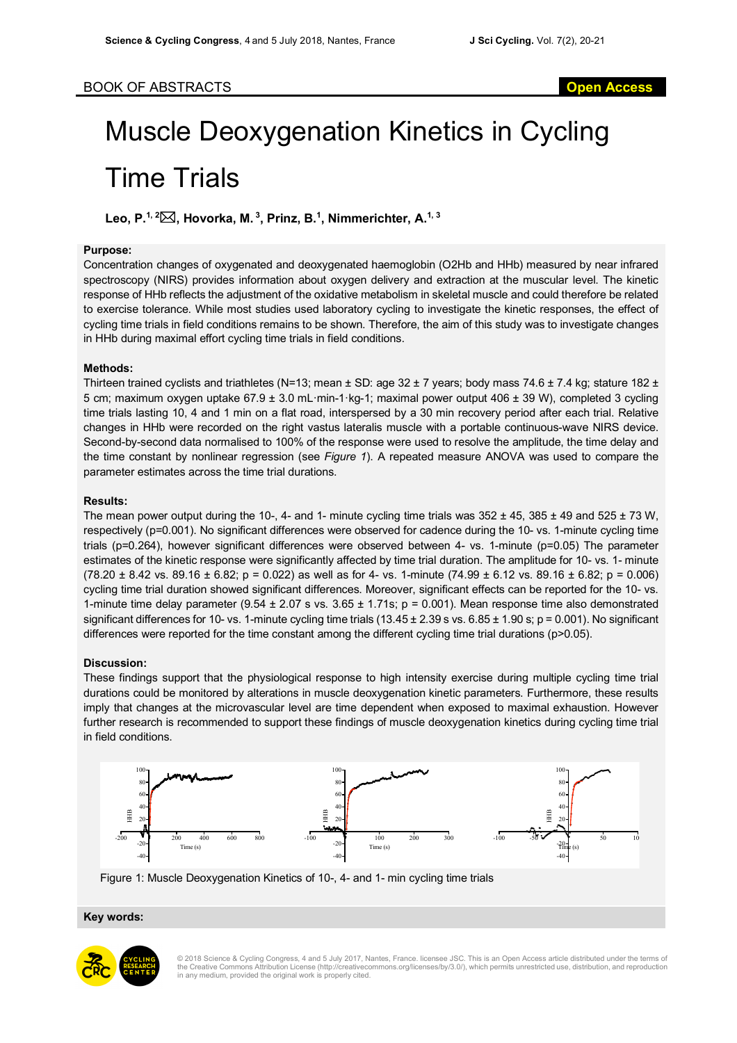# Muscle Deoxygenation Kinetics in Cycling Time Trials

**Leo, P. 1, 2**\***, Hovorka, M. <sup>3</sup> , Prinz, B. 1 , Nimmerichter, A. 1, 3**

#### **Purpose:**

Concentration changes of oxygenated and deoxygenated haemoglobin (O2Hb and HHb) measured by near infrared spectroscopy (NIRS) provides information about oxygen delivery and extraction at the muscular level. The kinetic response of HHb reflects the adjustment of the oxidative metabolism in skeletal muscle and could therefore be related to exercise tolerance. While most studies used laboratory cycling to investigate the kinetic responses, the effect of cycling time trials in field conditions remains to be shown. Therefore, the aim of this study was to investigate changes in HHb during maximal effort cycling time trials in field conditions.

## **Methods:**

Thirteen trained cyclists and triathletes (N=13; mean  $\pm$  SD: age 32  $\pm$  7 years; body mass 74.6  $\pm$  7.4 kg; stature 182  $\pm$ 5 cm; maximum oxygen uptake 67.9 ± 3.0 mL·min-1·kg-1; maximal power output 406 ± 39 W), completed 3 cycling time trials lasting 10, 4 and 1 min on a flat road, interspersed by a 30 min recovery period after each trial. Relative changes in HHb were recorded on the right vastus lateralis muscle with a portable continuous-wave NIRS device. Second-by-second data normalised to 100% of the response were used to resolve the amplitude, the time delay and the time constant by nonlinear regression (see *Figure 1*). A repeated measure ANOVA was used to compare the parameter estimates across the time trial durations.

## **Results:**

The mean power output during the 10-, 4- and 1- minute cycling time trials was  $352 \pm 45$ ,  $385 \pm 49$  and  $525 \pm 73$  W, respectively (p=0.001). No significant differences were observed for cadence during the 10- vs. 1-minute cycling time trials (p=0.264), however significant differences were observed between 4- vs. 1-minute (p=0.05) The parameter estimates of the kinetic response were significantly affected by time trial duration. The amplitude for 10- vs. 1- minute  $(78.20 \pm 8.42 \text{ vs. } 89.16 \pm 6.82; \text{ p} = 0.022)$  as well as for 4- vs. 1-minute  $(74.99 \pm 6.12 \text{ vs. } 89.16 \pm 6.82; \text{ p} = 0.006)$ cycling time trial duration showed significant differences. Moreover, significant effects can be reported for the 10- vs. 1-minute time delay parameter ( $9.54 \pm 2.07$  s vs.  $3.65 \pm 1.71$ s; p = 0.001). Mean response time also demonstrated significant differences for 10- vs. 1-minute cycling time trials  $(13.45 \pm 2.39 \text{ s} \text{ vs. } 6.85 \pm 1.90 \text{ s}; p = 0.001)$ . No significant differences were reported for the time constant among the different cycling time trial durations (p>0.05).

#### **Discussion:**

These findings support that the physiological response to high intensity exercise during multiple cycling time trial durations could be monitored by alterations in muscle deoxygenation kinetic parameters. Furthermore, these results imply that changes at the microvascular level are time dependent when exposed to maximal exhaustion. However further research is recommended to support these findings of muscle deoxygenation kinetics during cycling time trial in field conditions.



Figure 1: Muscle Deoxygenation Kinetics of 10-, 4- and 1- min cycling time trials

# Key words:



© 2018 Science & Cycling Congress, 4 and 5 July 2017, Nantes, France. licensee JSC. This is an Open Access article distributed under the terms of the Creative Commons Attribution License (http://creativecommons.org/licenses/by/3.0/), which permits unrestricted use, distribution, and reproduction in any medium, provided the original work is properly cited.